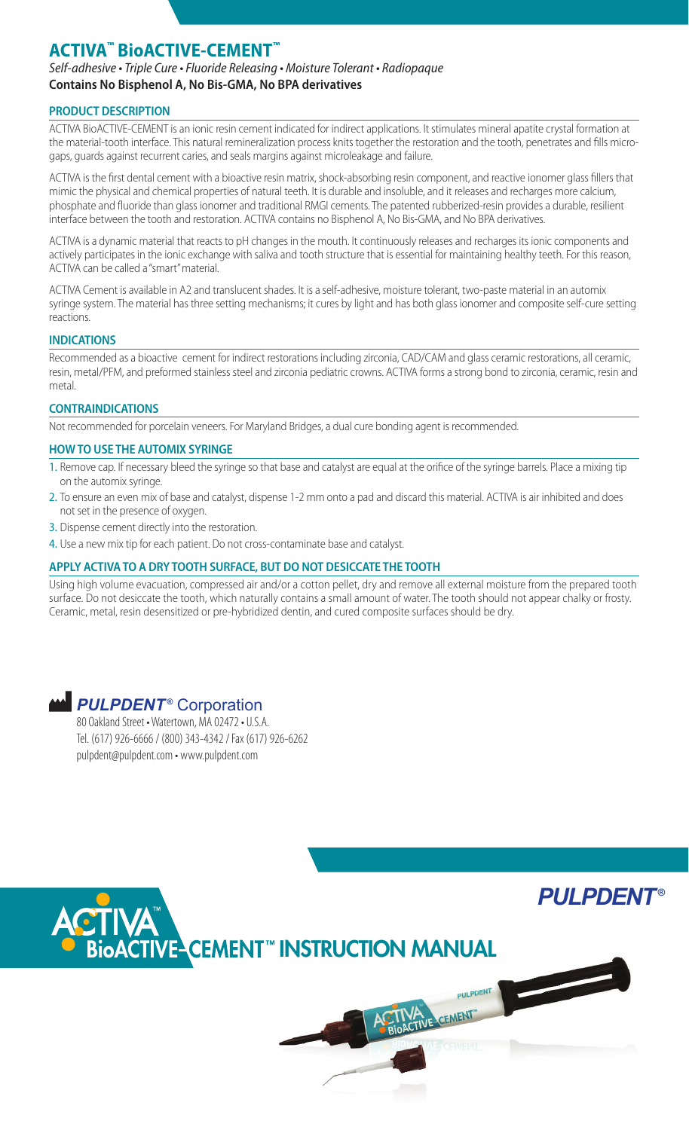# **ACTIVA™ BioACTIVE-CEMENT™**

*Self-adhesive • Triple Cure • Fluoride Releasing • Moisture Tolerant • Radiopaque* **Contains No Bisphenol A, No Bis-GMA, No BPA derivatives**

# **PRODUCT DESCRIPTION**

ACTIVA BioACTIVE-CEMENT is an ionic resin cement indicated for indirect applications. It stimulates mineral apatite crystal formation at the material-tooth interface. This natural remineralization process knits together the restoration and the tooth, penetrates and fills microgaps, guards against recurrent caries, and seals margins against microleakage and failure.

ACTIVA is the first dental cement with a bioactive resin matrix, shock-absorbing resin component, and reactive ionomer glass fillers that mimic the physical and chemical properties of natural teeth. It is durable and insoluble, and it releases and recharges more calcium, phosphate and fluoride than glass ionomer and traditional RMGI cements. The patented rubberized-resin provides a durable, resilient interface between the tooth and restoration. ACTIVA contains no Bisphenol A, No Bis-GMA, and No BPA derivatives.

ACTIVA is a dynamic material that reacts to pH changes in the mouth. It continuously releases and recharges its ionic components and actively participates in the ionic exchange with saliva and tooth structure that is essential for maintaining healthy teeth. For this reason, ACTIVA can be called a "smart" material.

ACTIVA Cement is available in A2 and translucent shades. It is a self-adhesive, moisture tolerant, two-paste material in an automix syringe system. The material has three setting mechanisms; it cures by light and has both glass ionomer and composite self-cure setting reactions.

### **INDICATIONS**

Recommended as a bioactive cement for indirect restorations including zirconia, CAD/CAM and glass ceramic restorations, all ceramic, resin, metal/PFM, and preformed stainless steel and zirconia pediatric crowns. ACTIVA forms a strong bond to zirconia, ceramic, resin and metal.

# **CONTRAINDICATIONS**

Not recommended for porcelain veneers. For Maryland Bridges, a dual cure bonding agent is recommended.

### **HOW TO USE THE AUTOMIX SYRINGE**

- 1. Remove cap. If necessary bleed the syringe so that base and catalyst are equal at the orifice of the syringe barrels. Place a mixing tip on the automix syringe.
- 2. To ensure an even mix of base and catalyst, dispense 1-2 mm onto a pad and discard this material. ACTIVA is air inhibited and does not set in the presence of oxygen.
- 3. Dispense cement directly into the restoration.
- 4. Use a new mix tip for each patient. Do not cross-contaminate base and catalyst.

# **APPLY ACTIVA TO A DRY TOOTH SURFACE, BUT DO NOT DESICCATE THE TOOTH**

Using high volume evacuation, compressed air and/or a cotton pellet, dry and remove all external moisture from the prepared tooth surface. Do not desiccate the tooth, which naturally contains a small amount of water. The tooth should not appear chalky or frosty. Ceramic, metal, resin desensitized or pre-hybridized dentin, and cured composite surfaces should be dry.

# *PULPDENT<sup>®</sup>* Corporation

80 Oakland Street • Watertown, MA 02472 • U.S.A. Tel. (617) 926-6666 / (800) 343-4342 / Fax (617) 926-6262 pulpdent@pulpdent.com • www.pulpdent.com